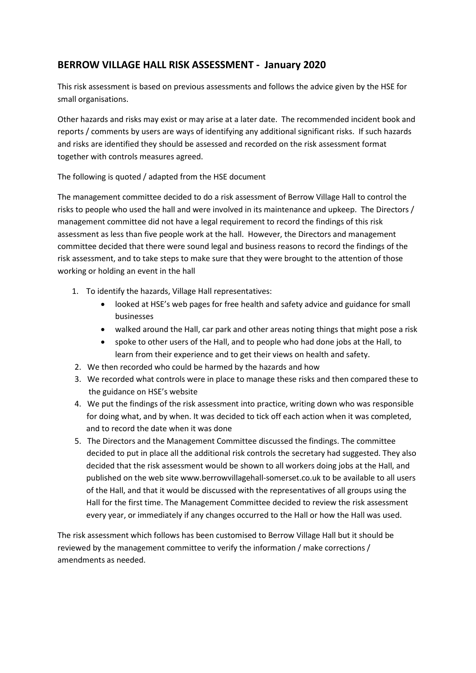## **BERROW VILLAGE HALL RISK ASSESSMENT - January 2020**

This risk assessment is based on previous assessments and follows the advice given by the HSE for small organisations.

Other hazards and risks may exist or may arise at a later date. The recommended incident book and reports / comments by users are ways of identifying any additional significant risks. If such hazards and risks are identified they should be assessed and recorded on the risk assessment format together with controls measures agreed.

The following is quoted / adapted from the HSE document

The management committee decided to do a risk assessment of Berrow Village Hall to control the risks to people who used the hall and were involved in its maintenance and upkeep. The Directors / management committee did not have a legal requirement to record the findings of this risk assessment as less than five people work at the hall. However, the Directors and management committee decided that there were sound legal and business reasons to record the findings of the risk assessment, and to take steps to make sure that they were brought to the attention of those working or holding an event in the hall

- 1. To identify the hazards, Village Hall representatives:
	- looked at HSE's web pages for free health and safety advice and guidance for small businesses
	- walked around the Hall, car park and other areas noting things that might pose a risk
	- spoke to other users of the Hall, and to people who had done jobs at the Hall, to learn from their experience and to get their views on health and safety.
- 2. We then recorded who could be harmed by the hazards and how
- 3. We recorded what controls were in place to manage these risks and then compared these to the guidance on HSE's website
- 4. We put the findings of the risk assessment into practice, writing down who was responsible for doing what, and by when. It was decided to tick off each action when it was completed, and to record the date when it was done
- 5. The Directors and the Management Committee discussed the findings. The committee decided to put in place all the additional risk controls the secretary had suggested. They also decided that the risk assessment would be shown to all workers doing jobs at the Hall, and published on the web site www.berrowvillagehall‐somerset.co.uk to be available to all users of the Hall, and that it would be discussed with the representatives of all groups using the Hall for the first time. The Management Committee decided to review the risk assessment every year, or immediately if any changes occurred to the Hall or how the Hall was used.

The risk assessment which follows has been customised to Berrow Village Hall but it should be reviewed by the management committee to verify the information / make corrections / amendments as needed.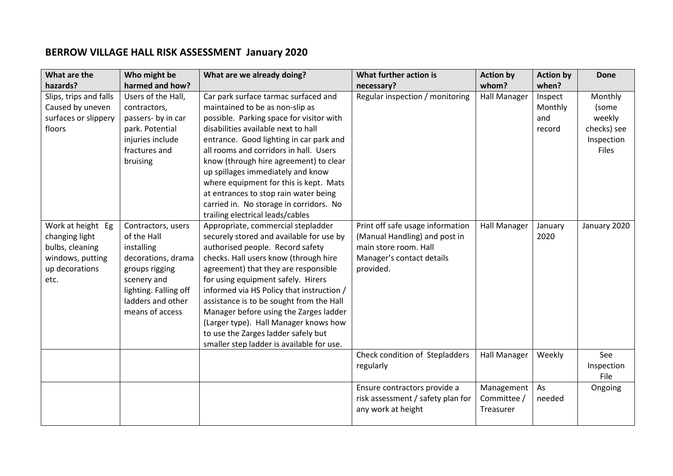## **BERROW VILLAGE HALL RISK ASSESSMENT January 2020**

| What are the                                                                                         | Who might be                                                                                                                                                            | What are we already doing?                                                                                                                                                                                                                                                                                                                                                                                                                                                                                                                    | What further action is                                                                                                               | <b>Action by</b>                       | <b>Action by</b>                    | <b>Done</b>                                                      |
|------------------------------------------------------------------------------------------------------|-------------------------------------------------------------------------------------------------------------------------------------------------------------------------|-----------------------------------------------------------------------------------------------------------------------------------------------------------------------------------------------------------------------------------------------------------------------------------------------------------------------------------------------------------------------------------------------------------------------------------------------------------------------------------------------------------------------------------------------|--------------------------------------------------------------------------------------------------------------------------------------|----------------------------------------|-------------------------------------|------------------------------------------------------------------|
| hazards?                                                                                             | harmed and how?                                                                                                                                                         |                                                                                                                                                                                                                                                                                                                                                                                                                                                                                                                                               | necessary?                                                                                                                           | whom?                                  | when?                               |                                                                  |
| Slips, trips and falls<br>Caused by uneven<br>surfaces or slippery<br>floors                         | Users of the Hall,<br>contractors,<br>passers- by in car<br>park. Potential<br>injuries include<br>fractures and<br>bruising                                            | Car park surface tarmac surfaced and<br>maintained to be as non-slip as<br>possible. Parking space for visitor with<br>disabilities available next to hall<br>entrance. Good lighting in car park and<br>all rooms and corridors in hall. Users<br>know (through hire agreement) to clear<br>up spillages immediately and know<br>where equipment for this is kept. Mats<br>at entrances to stop rain water being<br>carried in. No storage in corridors. No                                                                                  | Regular inspection / monitoring                                                                                                      | <b>Hall Manager</b>                    | Inspect<br>Monthly<br>and<br>record | Monthly<br>(some<br>weekly<br>checks) see<br>Inspection<br>Files |
| Work at height Eg<br>changing light<br>bulbs, cleaning<br>windows, putting<br>up decorations<br>etc. | Contractors, users<br>of the Hall<br>installing<br>decorations, drama<br>groups rigging<br>scenery and<br>lighting. Falling off<br>ladders and other<br>means of access | trailing electrical leads/cables<br>Appropriate, commercial stepladder<br>securely stored and available for use by<br>authorised people. Record safety<br>checks. Hall users know (through hire<br>agreement) that they are responsible<br>for using equipment safely. Hirers<br>informed via HS Policy that instruction /<br>assistance is to be sought from the Hall<br>Manager before using the Zarges ladder<br>(Larger type). Hall Manager knows how<br>to use the Zarges ladder safely but<br>smaller step ladder is available for use. | Print off safe usage information<br>(Manual Handling) and post in<br>main store room. Hall<br>Manager's contact details<br>provided. | <b>Hall Manager</b>                    | January<br>2020                     | January 2020                                                     |
|                                                                                                      |                                                                                                                                                                         |                                                                                                                                                                                                                                                                                                                                                                                                                                                                                                                                               | Check condition of Stepladders<br>regularly                                                                                          | <b>Hall Manager</b>                    | Weekly                              | See<br>Inspection<br>File                                        |
|                                                                                                      |                                                                                                                                                                         |                                                                                                                                                                                                                                                                                                                                                                                                                                                                                                                                               | Ensure contractors provide a<br>risk assessment / safety plan for<br>any work at height                                              | Management<br>Committee /<br>Treasurer | As<br>needed                        | Ongoing                                                          |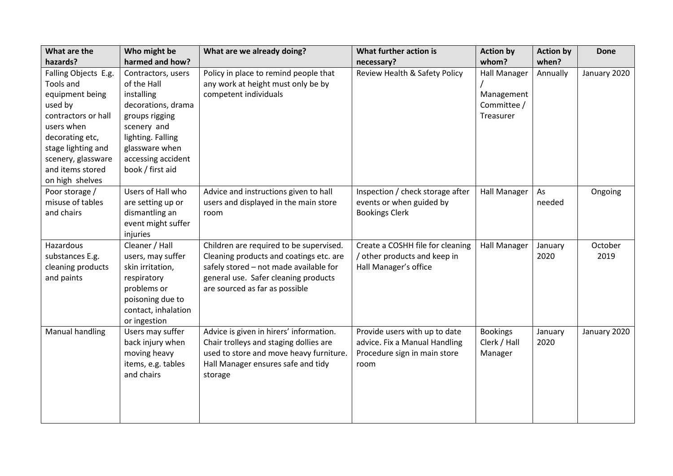| What are the                                                                                                                                                                                               | Who might be                                                                                                                                                                            | What are we already doing?                                                                                                                                                                             | What further action is                                                                                 | <b>Action by</b>                                              | <b>Action by</b> | <b>Done</b>     |
|------------------------------------------------------------------------------------------------------------------------------------------------------------------------------------------------------------|-----------------------------------------------------------------------------------------------------------------------------------------------------------------------------------------|--------------------------------------------------------------------------------------------------------------------------------------------------------------------------------------------------------|--------------------------------------------------------------------------------------------------------|---------------------------------------------------------------|------------------|-----------------|
| hazards?                                                                                                                                                                                                   | harmed and how?                                                                                                                                                                         |                                                                                                                                                                                                        | necessary?                                                                                             | whom?                                                         | when?            |                 |
| Falling Objects E.g.<br>Tools and<br>equipment being<br>used by<br>contractors or hall<br>users when<br>decorating etc,<br>stage lighting and<br>scenery, glassware<br>and items stored<br>on high shelves | Contractors, users<br>of the Hall<br>installing<br>decorations, drama<br>groups rigging<br>scenery and<br>lighting. Falling<br>glassware when<br>accessing accident<br>book / first aid | Policy in place to remind people that<br>any work at height must only be by<br>competent individuals                                                                                                   | Review Health & Safety Policy                                                                          | <b>Hall Manager</b><br>Management<br>Committee /<br>Treasurer | Annually         | January 2020    |
| Poor storage /<br>misuse of tables<br>and chairs                                                                                                                                                           | Users of Hall who<br>are setting up or<br>dismantling an<br>event might suffer<br>injuries                                                                                              | Advice and instructions given to hall<br>users and displayed in the main store<br>room                                                                                                                 | Inspection / check storage after<br>events or when guided by<br><b>Bookings Clerk</b>                  | <b>Hall Manager</b>                                           | As<br>needed     | Ongoing         |
| Hazardous<br>substances E.g.<br>cleaning products<br>and paints                                                                                                                                            | Cleaner / Hall<br>users, may suffer<br>skin irritation,<br>respiratory<br>problems or<br>poisoning due to<br>contact, inhalation<br>or ingestion                                        | Children are required to be supervised.<br>Cleaning products and coatings etc. are<br>safely stored - not made available for<br>general use. Safer cleaning products<br>are sourced as far as possible | Create a COSHH file for cleaning<br>/ other products and keep in<br>Hall Manager's office              | <b>Hall Manager</b>                                           | January<br>2020  | October<br>2019 |
| Manual handling                                                                                                                                                                                            | Users may suffer<br>back injury when<br>moving heavy<br>items, e.g. tables<br>and chairs                                                                                                | Advice is given in hirers' information.<br>Chair trolleys and staging dollies are<br>used to store and move heavy furniture.<br>Hall Manager ensures safe and tidy<br>storage                          | Provide users with up to date<br>advice. Fix a Manual Handling<br>Procedure sign in main store<br>room | <b>Bookings</b><br>Clerk / Hall<br>Manager                    | January<br>2020  | January 2020    |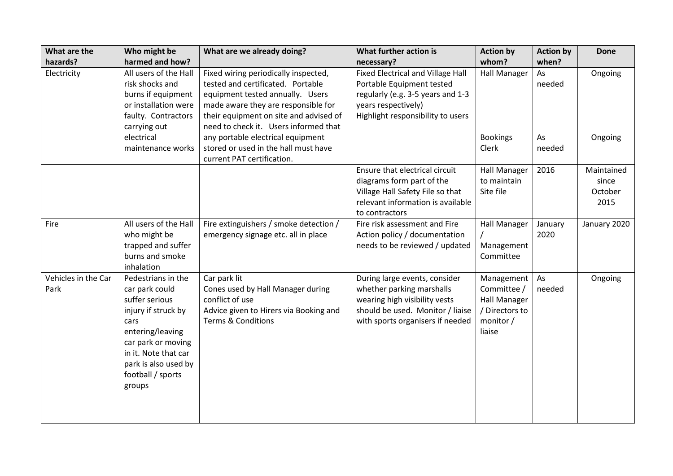| What are the<br>hazards?    | Who might be<br>harmed and how?                                                                                                                                                                                | What are we already doing?                                                                                                                                                                                                              | What further action is<br>necessary?                                                                                                                                   | <b>Action by</b><br>whom?                                                         | <b>Action by</b><br>when? | <b>Done</b>                            |
|-----------------------------|----------------------------------------------------------------------------------------------------------------------------------------------------------------------------------------------------------------|-----------------------------------------------------------------------------------------------------------------------------------------------------------------------------------------------------------------------------------------|------------------------------------------------------------------------------------------------------------------------------------------------------------------------|-----------------------------------------------------------------------------------|---------------------------|----------------------------------------|
| Electricity                 | All users of the Hall<br>risk shocks and<br>burns if equipment<br>or installation were<br>faulty. Contractors<br>carrying out                                                                                  | Fixed wiring periodically inspected,<br>tested and certificated. Portable<br>equipment tested annually. Users<br>made aware they are responsible for<br>their equipment on site and advised of<br>need to check it. Users informed that | <b>Fixed Electrical and Village Hall</b><br>Portable Equipment tested<br>regularly (e.g. 3-5 years and 1-3<br>years respectively)<br>Highlight responsibility to users | Hall Manager                                                                      | As<br>needed              | Ongoing                                |
|                             | electrical<br>maintenance works                                                                                                                                                                                | any portable electrical equipment<br>stored or used in the hall must have<br>current PAT certification.                                                                                                                                 |                                                                                                                                                                        | <b>Bookings</b><br>Clerk                                                          | As<br>needed              | Ongoing                                |
|                             |                                                                                                                                                                                                                |                                                                                                                                                                                                                                         | Ensure that electrical circuit<br>diagrams form part of the<br>Village Hall Safety File so that<br>relevant information is available<br>to contractors                 | Hall Manager<br>to maintain<br>Site file                                          | 2016                      | Maintained<br>since<br>October<br>2015 |
| Fire                        | All users of the Hall<br>who might be<br>trapped and suffer<br>burns and smoke<br>inhalation                                                                                                                   | Fire extinguishers / smoke detection /<br>emergency signage etc. all in place                                                                                                                                                           | Fire risk assessment and Fire<br>Action policy / documentation<br>needs to be reviewed / updated                                                                       | Hall Manager<br>Management<br>Committee                                           | January<br>2020           | January 2020                           |
| Vehicles in the Car<br>Park | Pedestrians in the<br>car park could<br>suffer serious<br>injury if struck by<br>cars<br>entering/leaving<br>car park or moving<br>in it. Note that car<br>park is also used by<br>football / sports<br>groups | Car park lit<br>Cones used by Hall Manager during<br>conflict of use<br>Advice given to Hirers via Booking and<br><b>Terms &amp; Conditions</b>                                                                                         | During large events, consider<br>whether parking marshalls<br>wearing high visibility vests<br>should be used. Monitor / liaise<br>with sports organisers if needed    | Management<br>Committee /<br>Hall Manager<br>/ Directors to<br>monitor/<br>liaise | As<br>needed              | Ongoing                                |